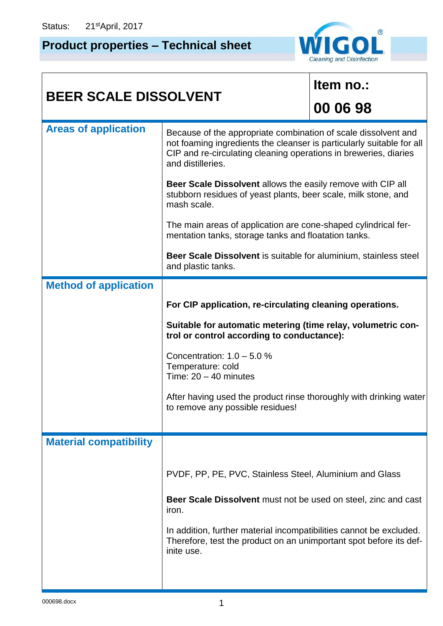## **Product properties – Technical sheet**



| <b>BEER SCALE DISSOLVENT</b>  |                                                                                                                                                                                                                                  | Item no.: |  |
|-------------------------------|----------------------------------------------------------------------------------------------------------------------------------------------------------------------------------------------------------------------------------|-----------|--|
|                               |                                                                                                                                                                                                                                  | 00 06 98  |  |
| <b>Areas of application</b>   | Because of the appropriate combination of scale dissolvent and<br>not foaming ingredients the cleanser is particularly suitable for all<br>CIP and re-circulating cleaning operations in breweries, diaries<br>and distilleries. |           |  |
|                               | Beer Scale Dissolvent allows the easily remove with CIP all<br>stubborn residues of yeast plants, beer scale, milk stone, and<br>mash scale.                                                                                     |           |  |
|                               | The main areas of application are cone-shaped cylindrical fer-<br>mentation tanks, storage tanks and floatation tanks.                                                                                                           |           |  |
|                               | Beer Scale Dissolvent is suitable for aluminium, stainless steel<br>and plastic tanks.                                                                                                                                           |           |  |
| <b>Method of application</b>  |                                                                                                                                                                                                                                  |           |  |
|                               | For CIP application, re-circulating cleaning operations.                                                                                                                                                                         |           |  |
|                               | Suitable for automatic metering (time relay, volumetric con-<br>trol or control according to conductance):                                                                                                                       |           |  |
|                               | Concentration: $1.0 - 5.0 %$<br>Temperature: cold<br>Time: $20 - 40$ minutes                                                                                                                                                     |           |  |
|                               | After having used the product rinse thoroughly with drinking water<br>to remove any possible residues!                                                                                                                           |           |  |
|                               |                                                                                                                                                                                                                                  |           |  |
| <b>Material compatibility</b> |                                                                                                                                                                                                                                  |           |  |
|                               | PVDF, PP, PE, PVC, Stainless Steel, Aluminium and Glass                                                                                                                                                                          |           |  |
|                               | Beer Scale Dissolvent must not be used on steel, zinc and cast<br>iron.                                                                                                                                                          |           |  |
|                               | In addition, further material incompatibilities cannot be excluded.<br>Therefore, test the product on an unimportant spot before its def-<br>inite use.                                                                          |           |  |
|                               |                                                                                                                                                                                                                                  |           |  |